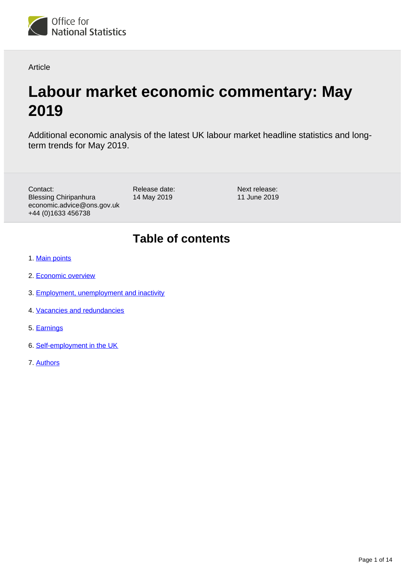

Article

# **Labour market economic commentary: May 2019**

Additional economic analysis of the latest UK labour market headline statistics and longterm trends for May 2019.

Contact: Blessing Chiripanhura economic.advice@ons.gov.uk +44 (0)1633 456738

Release date: 14 May 2019

Next release: 11 June 2019

# **Table of contents**

- 1. [Main points](#page-1-0)
- 2. [Economic overview](#page-1-1)
- 3. [Employment, unemployment and inactivity](#page-1-2)
- 4. [Vacancies and redundancies](#page-6-0)
- 5. [Earnings](#page-8-0)
- 6. [Self-employment in the UK](#page-9-0)
- 7. [Authors](#page-13-0)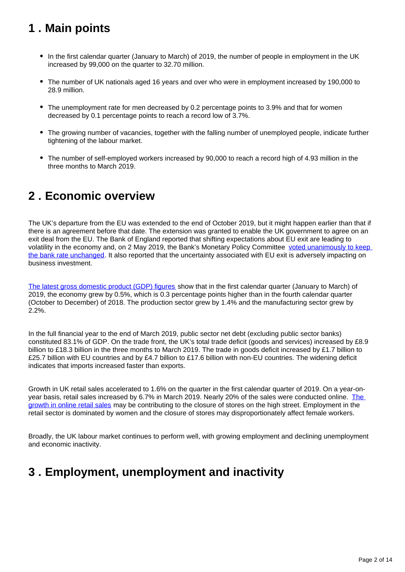# <span id="page-1-0"></span>**1 . Main points**

- In the first calendar quarter (January to March) of 2019, the number of people in employment in the UK increased by 99,000 on the quarter to 32.70 million.
- The number of UK nationals aged 16 years and over who were in employment increased by 190,000 to 28.9 million.
- The unemployment rate for men decreased by 0.2 percentage points to 3.9% and that for women decreased by 0.1 percentage points to reach a record low of 3.7%.
- The growing number of vacancies, together with the falling number of unemployed people, indicate further tightening of the labour market.
- The number of self-employed workers increased by 90,000 to reach a record high of 4.93 million in the three months to March 2019.

# <span id="page-1-1"></span>**2 . Economic overview**

The UK's departure from the EU was extended to the end of October 2019, but it might happen earlier than that if there is an agreement before that date. The extension was granted to enable the UK government to agree on an exit deal from the EU. The Bank of England reported that shifting expectations about EU exit are leading to volatility in the economy and, on 2 May 2019, the Bank's Monetary Policy Committee voted unanimously to keep [the bank rate unchanged.](https://www.bankofengland.co.uk/monetary-policy-summary-and-minutes/2019/may-2019) It also reported that the uncertainty associated with EU exit is adversely impacting on business investment.

[The latest gross domestic product \(GDP\) figures](https://www.ons.gov.uk/economy/grossdomesticproductgdp/bulletins/gdpmonthlyestimateuk/march2019) show that in the first calendar quarter (January to March) of 2019, the economy grew by 0.5%, which is 0.3 percentage points higher than in the fourth calendar quarter (October to December) of 2018. The production sector grew by 1.4% and the manufacturing sector grew by 2.2%.

In the full financial year to the end of March 2019, public sector net debt (excluding public sector banks) constituted 83.1% of GDP. On the trade front, the UK's total trade deficit (goods and services) increased by £8.9 billion to £18.3 billion in the three months to March 2019. The trade in goods deficit increased by £1.7 billion to £25.7 billion with EU countries and by £4.7 billion to £17.6 billion with non-EU countries. The widening deficit indicates that imports increased faster than exports.

Growth in UK retail sales accelerated to 1.6% on the quarter in the first calendar quarter of 2019. On a year-onyear basis, retail sales increased by 6.7% in March 2019. Nearly 20% of the sales were conducted online. [The](https://www.ons.gov.uk/businessindustryandtrade/retailindustry/articles/comparingbricksandmortarstoresalestoonlineretailsales/august2018)  [growth in online retail sales](https://www.ons.gov.uk/businessindustryandtrade/retailindustry/articles/comparingbricksandmortarstoresalestoonlineretailsales/august2018) may be contributing to the closure of stores on the high street. Employment in the retail sector is dominated by women and the closure of stores may disproportionately affect female workers.

Broadly, the UK labour market continues to perform well, with growing employment and declining unemployment and economic inactivity.

# <span id="page-1-2"></span>**3 . Employment, unemployment and inactivity**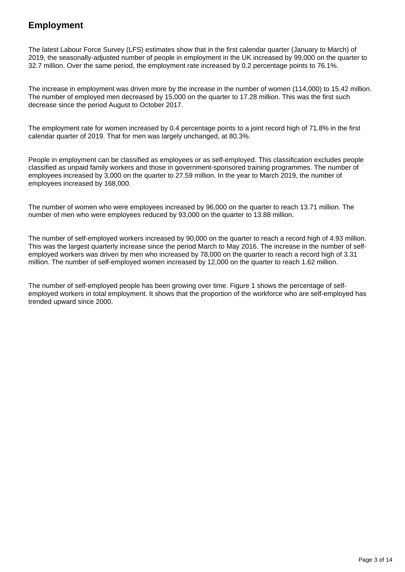### **Employment**

The latest Labour Force Survey (LFS) estimates show that in the first calendar quarter (January to March) of 2019, the seasonally-adjusted number of people in employment in the UK increased by 99,000 on the quarter to 32.7 million. Over the same period, the employment rate increased by 0.2 percentage points to 76.1%.

The increase in employment was driven more by the increase in the number of women (114,000) to 15.42 million. The number of employed men decreased by 15,000 on the quarter to 17.28 million. This was the first such decrease since the period August to October 2017.

The employment rate for women increased by 0.4 percentage points to a joint record high of 71.8% in the first calendar quarter of 2019. That for men was largely unchanged, at 80.3%.

People in employment can be classified as employees or as self-employed. This classification excludes people classified as unpaid family workers and those in government-sponsored training programmes. The number of employees increased by 3,000 on the quarter to 27.59 million. In the year to March 2019, the number of employees increased by 168,000.

The number of women who were employees increased by 96,000 on the quarter to reach 13.71 million. The number of men who were employees reduced by 93,000 on the quarter to 13.88 million.

The number of self-employed workers increased by 90,000 on the quarter to reach a record high of 4.93 million. This was the largest quarterly increase since the period March to May 2016. The increase in the number of selfemployed workers was driven by men who increased by 78,000 on the quarter to reach a record high of 3.31 million. The number of self-employed women increased by 12,000 on the quarter to reach 1.62 million.

The number of self-employed people has been growing over time. Figure 1 shows the percentage of selfemployed workers in total employment. It shows that the proportion of the workforce who are self-employed has trended upward since 2000.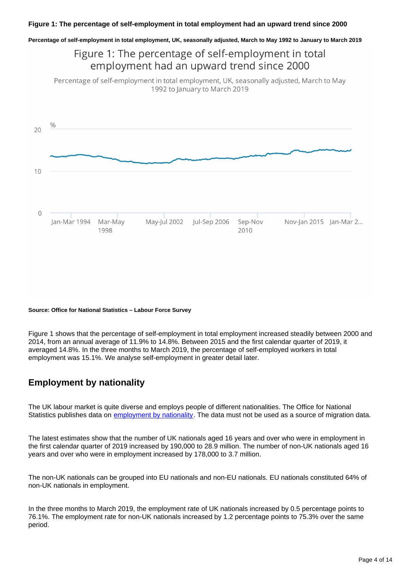**Percentage of self-employment in total employment, UK, seasonally adjusted, March to May 1992 to January to March 2019**

## Figure 1: The percentage of self-employment in total employment had an upward trend since 2000

Percentage of self-employment in total employment, UK, seasonally adjusted, March to May 1992 to January to March 2019



#### **Source: Office for National Statistics – Labour Force Survey**

Figure 1 shows that the percentage of self-employment in total employment increased steadily between 2000 and 2014, from an annual average of 11.9% to 14.8%. Between 2015 and the first calendar quarter of 2019, it averaged 14.8%. In the three months to March 2019, the percentage of self-employed workers in total employment was 15.1%. We analyse self-employment in greater detail later.

### **Employment by nationality**

The UK labour market is quite diverse and employs people of different nationalities. The Office for National Statistics publishes data on [employment by nationality](https://www.ons.gov.uk/employmentandlabourmarket/peopleinwork/employmentandemployeetypes/articles/ukandnonukpeopleinthelabourmarket/previousReleases). The data must not be used as a source of migration data.

The latest estimates show that the number of UK nationals aged 16 years and over who were in employment in the first calendar quarter of 2019 increased by 190,000 to 28.9 million. The number of non-UK nationals aged 16 years and over who were in employment increased by 178,000 to 3.7 million.

The non-UK nationals can be grouped into EU nationals and non-EU nationals. EU nationals constituted 64% of non-UK nationals in employment.

In the three months to March 2019, the employment rate of UK nationals increased by 0.5 percentage points to 76.1%. The employment rate for non-UK nationals increased by 1.2 percentage points to 75.3% over the same period.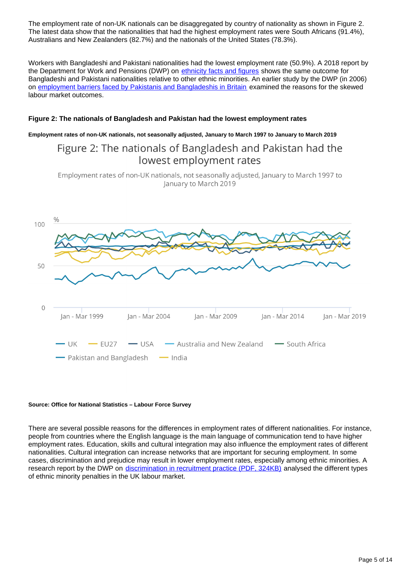The employment rate of non-UK nationals can be disaggregated by country of nationality as shown in Figure 2. The latest data show that the nationalities that had the highest employment rates were South Africans (91.4%), Australians and New Zealanders (82.7%) and the nationals of the United States (78.3%).

Workers with Bangladeshi and Pakistani nationalities had the lowest employment rate (50.9%). A 2018 report by the Department for Work and Pensions (DWP) on [ethnicity facts and figures](https://www.ethnicity-facts-figures.service.gov.uk/work-pay-and-benefits/employment/employment/latest) shows the same outcome for Bangladeshi and Pakistani nationalities relative to other ethnic minorities. An earlier study by the DWP (in 2006) on [employment barriers faced by Pakistanis and Bangladeshis in Britain](https://webarchive.nationalarchives.gov.uk/20130125093835/http://research.dwp.gov.uk/asd/asd5/report_abstracts/rr_abstracts/rra_360.asp) examined the reasons for the skewed labour market outcomes.

#### **Figure 2: The nationals of Bangladesh and Pakistan had the lowest employment rates**

**Employment rates of non-UK nationals, not seasonally adjusted, January to March 1997 to January to March 2019**

## Figure 2: The nationals of Bangladesh and Pakistan had the lowest employment rates

Employment rates of non-UK nationals, not seasonally adjusted, January to March 1997 to January to March 2019



#### **Source: Office for National Statistics – Labour Force Survey**

There are several possible reasons for the differences in employment rates of different nationalities. For instance, people from countries where the English language is the main language of communication tend to have higher employment rates. Education, skills and cultural integration may also influence the employment rates of different nationalities. Cultural integration can increase networks that are important for securing employment. In some cases, discrimination and prejudice may result in lower employment rates, especially among ethnic minorities. A research report by the DWP on [discrimination in recruitment practice \(PDF, 324KB\)](http://www.natcen.ac.uk/media/20541/test-for-racial-discrimination.pdf) analysed the different types of ethnic minority penalties in the UK labour market.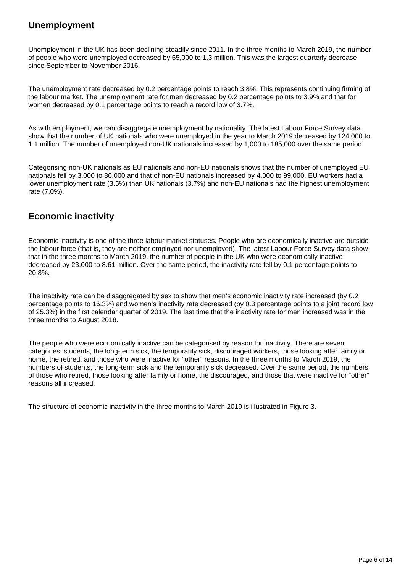### **Unemployment**

Unemployment in the UK has been declining steadily since 2011. In the three months to March 2019, the number of people who were unemployed decreased by 65,000 to 1.3 million. This was the largest quarterly decrease since September to November 2016.

The unemployment rate decreased by 0.2 percentage points to reach 3.8%. This represents continuing firming of the labour market. The unemployment rate for men decreased by 0.2 percentage points to 3.9% and that for women decreased by 0.1 percentage points to reach a record low of 3.7%.

As with employment, we can disaggregate unemployment by nationality. The latest Labour Force Survey data show that the number of UK nationals who were unemployed in the year to March 2019 decreased by 124,000 to 1.1 million. The number of unemployed non-UK nationals increased by 1,000 to 185,000 over the same period.

Categorising non-UK nationals as EU nationals and non-EU nationals shows that the number of unemployed EU nationals fell by 3,000 to 86,000 and that of non-EU nationals increased by 4,000 to 99,000. EU workers had a lower unemployment rate (3.5%) than UK nationals (3.7%) and non-EU nationals had the highest unemployment rate (7.0%).

### **Economic inactivity**

Economic inactivity is one of the three labour market statuses. People who are economically inactive are outside the labour force (that is, they are neither employed nor unemployed). The latest Labour Force Survey data show that in the three months to March 2019, the number of people in the UK who were economically inactive decreased by 23,000 to 8.61 million. Over the same period, the inactivity rate fell by 0.1 percentage points to 20.8%.

The inactivity rate can be disaggregated by sex to show that men's economic inactivity rate increased (by 0.2 percentage points to 16.3%) and women's inactivity rate decreased (by 0.3 percentage points to a joint record low of 25.3%) in the first calendar quarter of 2019. The last time that the inactivity rate for men increased was in the three months to August 2018.

The people who were economically inactive can be categorised by reason for inactivity. There are seven categories: students, the long-term sick, the temporarily sick, discouraged workers, those looking after family or home, the retired, and those who were inactive for "other" reasons. In the three months to March 2019, the numbers of students, the long-term sick and the temporarily sick decreased. Over the same period, the numbers of those who retired, those looking after family or home, the discouraged, and those that were inactive for "other" reasons all increased.

The structure of economic inactivity in the three months to March 2019 is illustrated in Figure 3.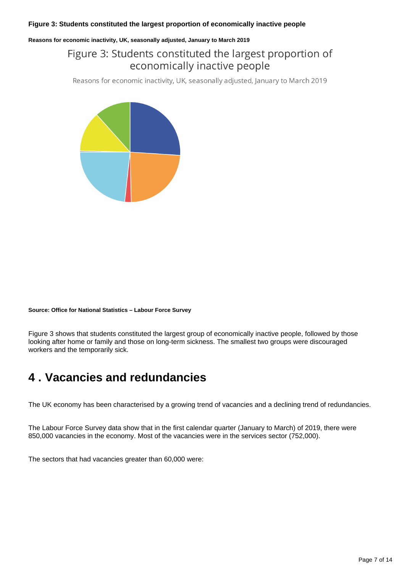#### **Figure 3: Students constituted the largest proportion of economically inactive people**

#### **Reasons for economic inactivity, UK, seasonally adjusted, January to March 2019**

## Figure 3: Students constituted the largest proportion of economically inactive people

Reasons for economic inactivity, UK, seasonally adjusted, January to March 2019



#### **Source: Office for National Statistics – Labour Force Survey**

Figure 3 shows that students constituted the largest group of economically inactive people, followed by those looking after home or family and those on long-term sickness. The smallest two groups were discouraged workers and the temporarily sick.

# <span id="page-6-0"></span>**4 . Vacancies and redundancies**

The UK economy has been characterised by a growing trend of vacancies and a declining trend of redundancies.

The Labour Force Survey data show that in the first calendar quarter (January to March) of 2019, there were 850,000 vacancies in the economy. Most of the vacancies were in the services sector (752,000).

The sectors that had vacancies greater than 60,000 were: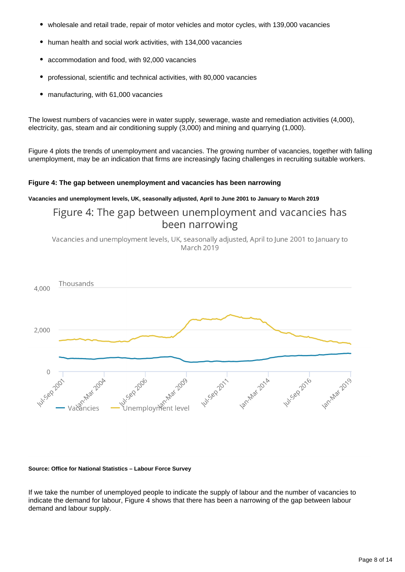- wholesale and retail trade, repair of motor vehicles and motor cycles, with 139,000 vacancies
- human health and social work activities, with 134,000 vacancies
- accommodation and food, with 92,000 vacancies
- professional, scientific and technical activities, with 80,000 vacancies
- manufacturing, with 61,000 vacancies  $\bullet$

The lowest numbers of vacancies were in water supply, sewerage, waste and remediation activities (4,000), electricity, gas, steam and air conditioning supply (3,000) and mining and quarrying (1,000).

Figure 4 plots the trends of unemployment and vacancies. The growing number of vacancies, together with falling unemployment, may be an indication that firms are increasingly facing challenges in recruiting suitable workers.

#### **Figure 4: The gap between unemployment and vacancies has been narrowing**

**Vacancies and unemployment levels, UK, seasonally adjusted, April to June 2001 to January to March 2019**

Figure 4: The gap between unemployment and vacancies has been narrowing

Vacancies and unemployment levels, UK, seasonally adjusted, April to June 2001 to January to March 2019



#### **Source: Office for National Statistics – Labour Force Survey**

If we take the number of unemployed people to indicate the supply of labour and the number of vacancies to indicate the demand for labour, Figure 4 shows that there has been a narrowing of the gap between labour demand and labour supply.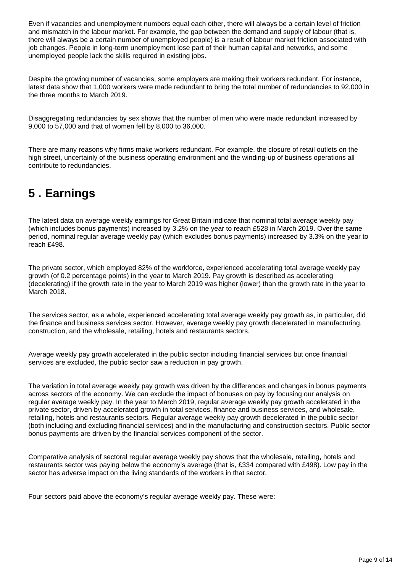Even if vacancies and unemployment numbers equal each other, there will always be a certain level of friction and mismatch in the labour market. For example, the gap between the demand and supply of labour (that is, there will always be a certain number of unemployed people) is a result of labour market friction associated with job changes. People in long-term unemployment lose part of their human capital and networks, and some unemployed people lack the skills required in existing jobs.

Despite the growing number of vacancies, some employers are making their workers redundant. For instance, latest data show that 1,000 workers were made redundant to bring the total number of redundancies to 92,000 in the three months to March 2019.

Disaggregating redundancies by sex shows that the number of men who were made redundant increased by 9,000 to 57,000 and that of women fell by 8,000 to 36,000.

There are many reasons why firms make workers redundant. For example, the closure of retail outlets on the high street, uncertainly of the business operating environment and the winding-up of business operations all contribute to redundancies.

# <span id="page-8-0"></span>**5 . Earnings**

The latest data on average weekly earnings for Great Britain indicate that nominal total average weekly pay (which includes bonus payments) increased by 3.2% on the year to reach £528 in March 2019. Over the same period, nominal regular average weekly pay (which excludes bonus payments) increased by 3.3% on the year to reach £498.

The private sector, which employed 82% of the workforce, experienced accelerating total average weekly pay growth (of 0.2 percentage points) in the year to March 2019. Pay growth is described as accelerating (decelerating) if the growth rate in the year to March 2019 was higher (lower) than the growth rate in the year to March 2018.

The services sector, as a whole, experienced accelerating total average weekly pay growth as, in particular, did the finance and business services sector. However, average weekly pay growth decelerated in manufacturing, construction, and the wholesale, retailing, hotels and restaurants sectors.

Average weekly pay growth accelerated in the public sector including financial services but once financial services are excluded, the public sector saw a reduction in pay growth.

The variation in total average weekly pay growth was driven by the differences and changes in bonus payments across sectors of the economy. We can exclude the impact of bonuses on pay by focusing our analysis on regular average weekly pay. In the year to March 2019, regular average weekly pay growth accelerated in the private sector, driven by accelerated growth in total services, finance and business services, and wholesale, retailing, hotels and restaurants sectors. Regular average weekly pay growth decelerated in the public sector (both including and excluding financial services) and in the manufacturing and construction sectors. Public sector bonus payments are driven by the financial services component of the sector.

Comparative analysis of sectoral regular average weekly pay shows that the wholesale, retailing, hotels and restaurants sector was paying below the economy's average (that is, £334 compared with £498). Low pay in the sector has adverse impact on the living standards of the workers in that sector.

Four sectors paid above the economy's regular average weekly pay. These were: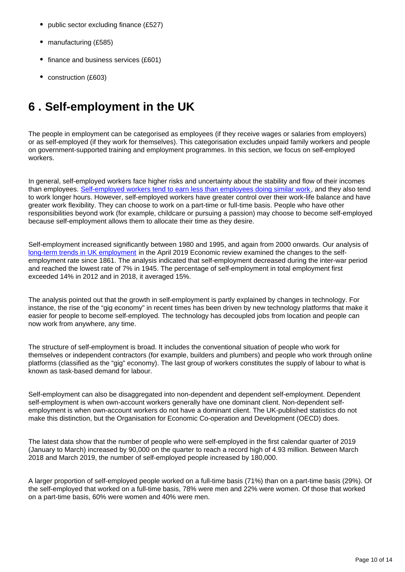- public sector excluding finance (£527)
- manufacturing (£585)
- finance and business services (£601)
- construction (£603)

# <span id="page-9-0"></span>**6 . Self-employment in the UK**

The people in employment can be categorised as employees (if they receive wages or salaries from employers) or as self-employed (if they work for themselves). This categorisation excludes unpaid family workers and people on government-supported training and employment programmes. In this section, we focus on self-employed workers.

In general, self-employed workers face higher risks and uncertainty about the stability and flow of their incomes than employees. [Self-employed workers tend to earn less than employees doing similar work](https://www.oecd-ilibrary.org/docserver/9789264283602-12-en.pdf?expires=1557482937&id=id&accname=guest&checksum=8752098F6072974C07CD214BBBDAE44E), and they also tend to work longer hours. However, self-employed workers have greater control over their work-life balance and have greater work flexibility. They can choose to work on a part-time or full-time basis. People who have other responsibilities beyond work (for example, childcare or pursuing a passion) may choose to become self-employed because self-employment allows them to allocate their time as they desire.

Self-employment increased significantly between 1980 and 1995, and again from 2000 onwards. Our analysis of [long-term trends in UK employment](https://www.ons.gov.uk/economy/nationalaccounts/uksectoraccounts/compendium/economicreview/april2019/longtermtrendsinukemployment1861to2018) in the April 2019 Economic review examined the changes to the selfemployment rate since 1861. The analysis indicated that self-employment decreased during the inter-war period and reached the lowest rate of 7% in 1945. The percentage of self-employment in total employment first exceeded 14% in 2012 and in 2018, it averaged 15%.

The analysis pointed out that the growth in self-employment is partly explained by changes in technology. For instance, the rise of the "gig economy" in recent times has been driven by new technology platforms that make it easier for people to become self-employed. The technology has decoupled jobs from location and people can now work from anywhere, any time.

The structure of self-employment is broad. It includes the conventional situation of people who work for themselves or independent contractors (for example, builders and plumbers) and people who work through online platforms (classified as the "gig" economy). The last group of workers constitutes the supply of labour to what is known as task-based demand for labour.

Self-employment can also be disaggregated into non-dependent and dependent self-employment. Dependent self-employment is when own-account workers generally have one dominant client. Non-dependent selfemployment is when own-account workers do not have a dominant client. The UK-published statistics do not make this distinction, but the Organisation for Economic Co-operation and Development (OECD) does.

The latest data show that the number of people who were self-employed in the first calendar quarter of 2019 (January to March) increased by 90,000 on the quarter to reach a record high of 4.93 million. Between March 2018 and March 2019, the number of self-employed people increased by 180,000.

A larger proportion of self-employed people worked on a full-time basis (71%) than on a part-time basis (29%). Of the self-employed that worked on a full-time basis, 78% were men and 22% were women. Of those that worked on a part-time basis, 60% were women and 40% were men.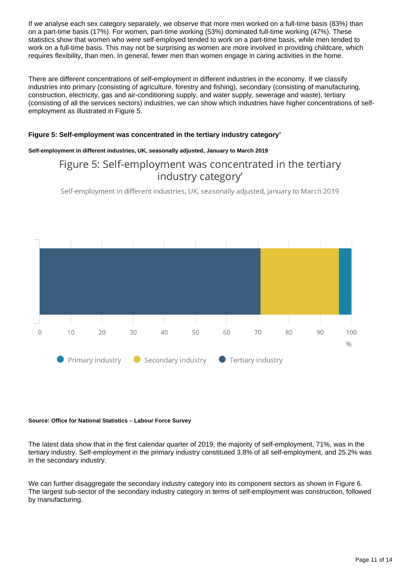If we analyse each sex category separately, we observe that more men worked on a full-time basis (83%) than on a part-time basis (17%). For women, part-time working (53%) dominated full-time working (47%). These statistics show that women who were self-employed tended to work on a part-time basis, while men tended to work on a full-time basis. This may not be surprising as women are more involved in providing childcare, which requires flexibility, than men. In general, fewer men than women engage in caring activities in the home.

There are different concentrations of self-employment in different industries in the economy. If we classify industries into primary (consisting of agriculture, forestry and fishing), secondary (consisting of manufacturing, construction, electricity, gas and air-conditioning supply, and water supply, sewerage and waste), tertiary (consisting of all the services sectors) industries, we can show which industries have higher concentrations of selfemployment as illustrated in Figure 5.

#### **Figure 5: Self-employment was concentrated in the tertiary industry category'**

#### **Self-employment in different industries, UK, seasonally adjusted, January to March 2019**

### Figure 5: Self-employment was concentrated in the tertiary industry category'

Self-employment in different industries, UK, seasonally adjusted, January to March 2019



#### **Source: Office for National Statistics – Labour Force Survey**

The latest data show that in the first calendar quarter of 2019, the majority of self-employment, 71%, was in the tertiary industry. Self-employment in the primary industry constituted 3.8% of all self-employment, and 25.2% was in the secondary industry.

We can further disaggregate the secondary industry category into its component sectors as shown in Figure 6. The largest sub-sector of the secondary industry category in terms of self-employment was construction, followed by manufacturing.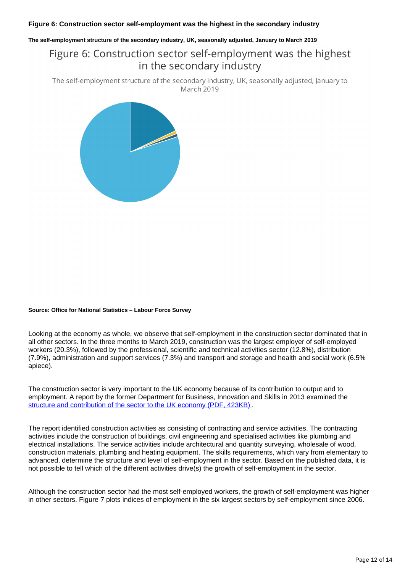#### **Figure 6: Construction sector self-employment was the highest in the secondary industry**

#### **The self-employment structure of the secondary industry, UK, seasonally adjusted, January to March 2019**

## Figure 6: Construction sector self-employment was the highest in the secondary industry

The self-employment structure of the secondary industry, UK, seasonally adjusted, January to March 2019



#### **Source: Office for National Statistics – Labour Force Survey**

Looking at the economy as whole, we observe that self-employment in the construction sector dominated that in all other sectors. In the three months to March 2019, construction was the largest employer of self-employed workers (20.3%), followed by the professional, scientific and technical activities sector (12.8%), distribution (7.9%), administration and support services (7.3%) and transport and storage and health and social work (6.5% apiece).

The construction sector is very important to the UK economy because of its contribution to output and to employment. A report by the former Department for Business, Innovation and Skills in 2013 examined the [structure and contribution of the sector to the UK economy \(PDF, 423KB\)](https://assets.publishing.service.gov.uk/government/uploads/system/uploads/attachment_data/file/210060/bis-13-958-uk-construction-an-economic-analysis-of-sector.pdf).

The report identified construction activities as consisting of contracting and service activities. The contracting activities include the construction of buildings, civil engineering and specialised activities like plumbing and electrical installations. The service activities include architectural and quantity surveying, wholesale of wood, construction materials, plumbing and heating equipment. The skills requirements, which vary from elementary to advanced, determine the structure and level of self-employment in the sector. Based on the published data, it is not possible to tell which of the different activities drive(s) the growth of self-employment in the sector.

Although the construction sector had the most self-employed workers, the growth of self-employment was higher in other sectors. Figure 7 plots indices of employment in the six largest sectors by self-employment since 2006.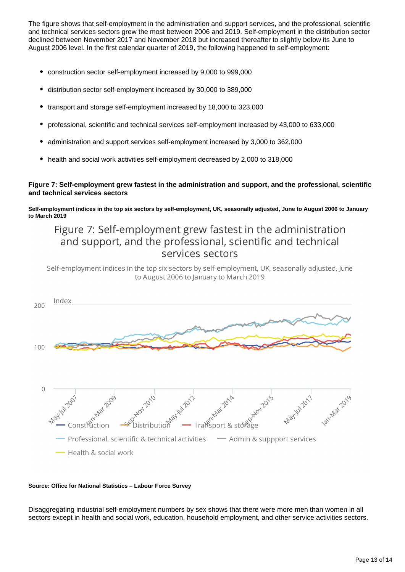The figure shows that self-employment in the administration and support services, and the professional, scientific and technical services sectors grew the most between 2006 and 2019. Self-employment in the distribution sector declined between November 2017 and November 2018 but increased thereafter to slightly below its June to August 2006 level. In the first calendar quarter of 2019, the following happened to self-employment:

- construction sector self-employment increased by 9,000 to 999,000
- distribution sector self-employment increased by 30,000 to 389,000
- $\bullet$ transport and storage self-employment increased by 18,000 to 323,000
- professional, scientific and technical services self-employment increased by 43,000 to 633,000
- administration and support services self-employment increased by 3,000 to 362,000
- health and social work activities self-employment decreased by 2,000 to 318,000

#### **Figure 7: Self-employment grew fastest in the administration and support, and the professional, scientific and technical services sectors**

**Self-employment indices in the top six sectors by self-employment, UK, seasonally adjusted, June to August 2006 to January to March 2019**

## Figure 7: Self-employment grew fastest in the administration and support, and the professional, scientific and technical services sectors

Self-employment indices in the top six sectors by self-employment, UK, seasonally adjusted, June to August 2006 to January to March 2019



#### **Source: Office for National Statistics – Labour Force Survey**

Disaggregating industrial self-employment numbers by sex shows that there were more men than women in all sectors except in health and social work, education, household employment, and other service activities sectors.